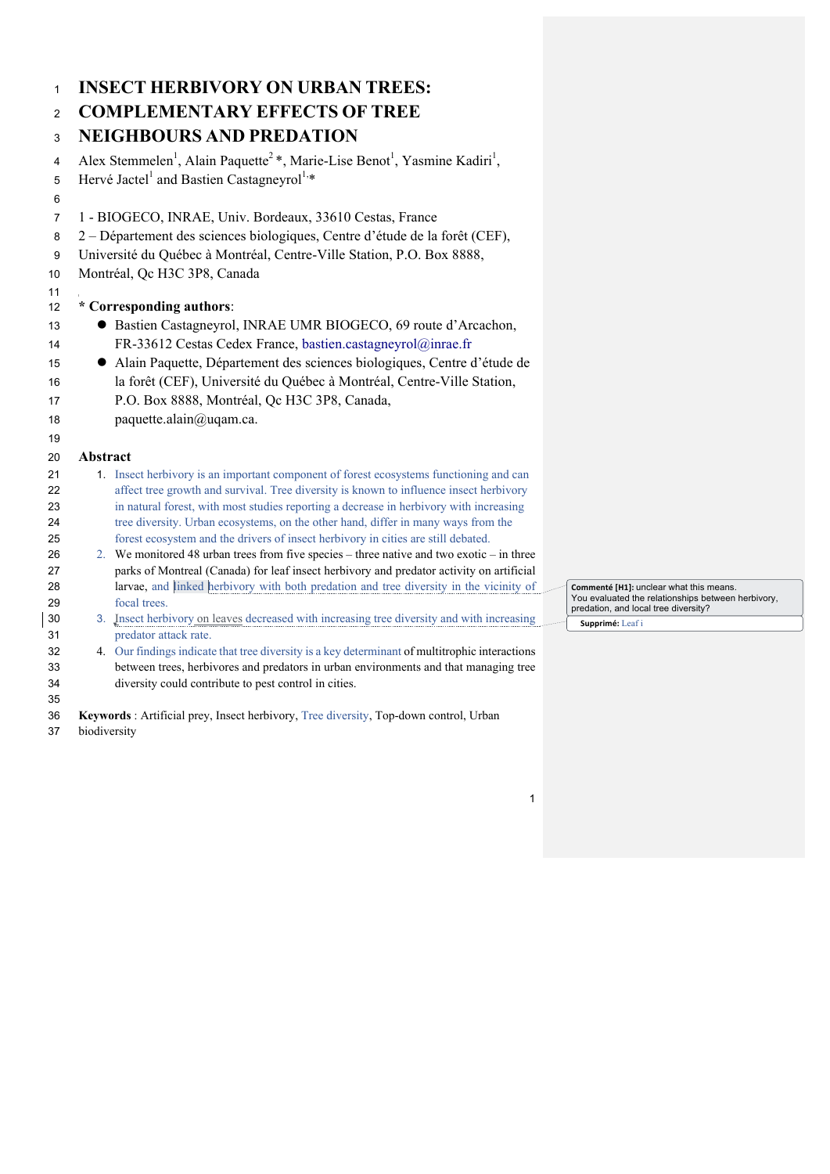| $\mathbf{1}$   | <b>INSECT HERBIVORY ON URBAN TREES:</b>                                                                                                                                |                                                                                            |
|----------------|------------------------------------------------------------------------------------------------------------------------------------------------------------------------|--------------------------------------------------------------------------------------------|
| $\overline{2}$ | <b>COMPLEMENTARY EFFECTS OF TREE</b>                                                                                                                                   |                                                                                            |
| 3              | <b>NEIGHBOURS AND PREDATION</b>                                                                                                                                        |                                                                                            |
| 4              | Alex Stemmelen <sup>1</sup> , Alain Paquette <sup>2</sup> *, Marie-Lise Benot <sup>1</sup> , Yasmine Kadiri <sup>1</sup> ,                                             |                                                                                            |
| 5              | Hervé Jactel <sup>1</sup> and Bastien Castagneyrol <sup>1,*</sup>                                                                                                      |                                                                                            |
| 6              |                                                                                                                                                                        |                                                                                            |
| 7              | 1 - BIOGECO, INRAE, Univ. Bordeaux, 33610 Cestas, France                                                                                                               |                                                                                            |
| 8              | 2 – Département des sciences biologiques, Centre d'étude de la forêt (CEF),                                                                                            |                                                                                            |
| 9              | Université du Québec à Montréal, Centre-Ville Station, P.O. Box 8888,                                                                                                  |                                                                                            |
| 10             | Montréal, Qc H3C 3P8, Canada                                                                                                                                           |                                                                                            |
| 11             |                                                                                                                                                                        |                                                                                            |
| 12             | * Corresponding authors:                                                                                                                                               |                                                                                            |
| 13             | • Bastien Castagneyrol, INRAE UMR BIOGECO, 69 route d'Arcachon,                                                                                                        |                                                                                            |
| 14             | FR-33612 Cestas Cedex France, bastien.castagneyrol@inrae.fr                                                                                                            |                                                                                            |
| 15             | • Alain Paquette, Département des sciences biologiques, Centre d'étude de                                                                                              |                                                                                            |
| 16             | la forêt (CEF), Université du Québec à Montréal, Centre-Ville Station,                                                                                                 |                                                                                            |
| 17             | P.O. Box 8888, Montréal, Qc H3C 3P8, Canada,                                                                                                                           |                                                                                            |
| 18             | paquette.alain@uqam.ca.                                                                                                                                                |                                                                                            |
| 19             |                                                                                                                                                                        |                                                                                            |
| 20             | Abstract                                                                                                                                                               |                                                                                            |
| 21             | 1. Insect herbivory is an important component of forest ecosystems functioning and can                                                                                 |                                                                                            |
| 22             | affect tree growth and survival. Tree diversity is known to influence insect herbivory                                                                                 |                                                                                            |
| 23             | in natural forest, with most studies reporting a decrease in herbivory with increasing                                                                                 |                                                                                            |
| 24<br>25       | tree diversity. Urban ecosystems, on the other hand, differ in many ways from the<br>forest ecosystem and the drivers of insect herbivory in cities are still debated. |                                                                                            |
| 26             | 2. We monitored 48 urban trees from five species – three native and two exotic – in three                                                                              |                                                                                            |
| 27             | parks of Montreal (Canada) for leaf insect herbivory and predator activity on artificial                                                                               |                                                                                            |
| 28             | larvae, and linked herbivory with both predation and tree diversity in the vicinity of                                                                                 | Commenté [H1]: unclear what this means.                                                    |
| 29             | focal trees.                                                                                                                                                           | You evaluated the relationships between herbivory,<br>predation, and local tree diversity? |
| 30             | 3. Insect herbivory on leaves decreased with increasing tree diversity and with increasing                                                                             | Supprimé: Leaf i                                                                           |
| 31             | predator attack rate.                                                                                                                                                  |                                                                                            |
| 32             | 4. Our findings indicate that tree diversity is a key determinant of multitrophic interactions                                                                         |                                                                                            |
| 33             | between trees, herbivores and predators in urban environments and that managing tree                                                                                   |                                                                                            |
| 34<br>35       | diversity could contribute to pest control in cities.                                                                                                                  |                                                                                            |
| 36             | Keywords: Artificial prey, Insect herbivory, Tree diversity, Top-down control, Urban                                                                                   |                                                                                            |

biodiversity

 $\overline{\phantom{a}}$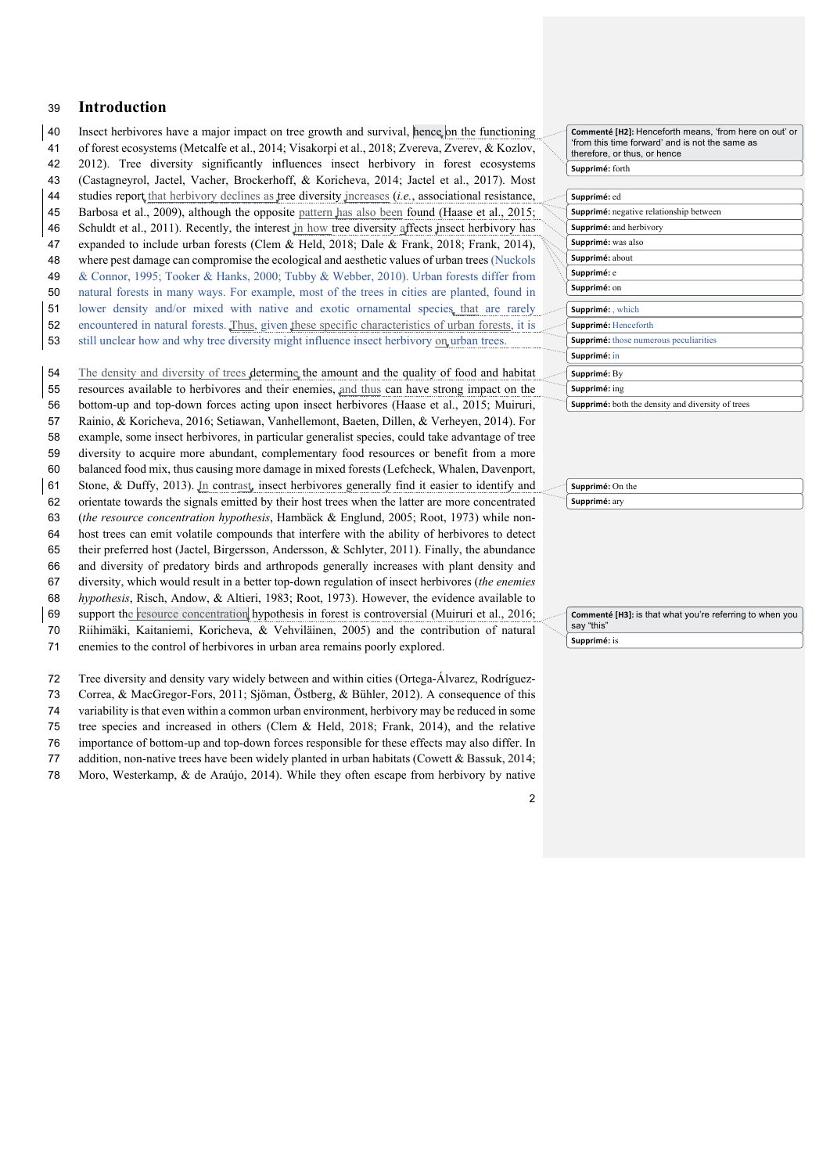# **Introduction**

 Insect herbivores have a major impact on tree growth and survival, hence on the functioning of forest ecosystems (Metcalfe et al., 2014; Visakorpi et al., 2018; Zvereva, Zverev, & Kozlov, 2012). Tree diversity significantly influences insect herbivory in forest ecosystems (Castagneyrol, Jactel, Vacher, Brockerhoff, & Koricheva, 2014; Jactel et al., 2017). Most 44 studies report that herbivory declines as tree diversity increases (*i.e.*, associational resistance, Barbosa et al., 2009), although the opposite pattern has also been found (Haase et al., 2015; 46 Schuldt et al., 2011). Recently, the interest in how tree diversity affects insect herbivory has expanded to include urban forests (Clem & Held, 2018; Dale & Frank, 2018; Frank, 2014), where pest damage can compromise the ecological and aesthetic values of urban trees (Nuckols & Connor, 1995; Tooker & Hanks, 2000; Tubby & Webber, 2010). Urban forests differ from natural forests in many ways. For example, most of the trees in cities are planted, found in lower density and/or mixed with native and exotic ornamental species that are rarely encountered in natural forests. Thus, given these specific characteristics of urban forests, it is still unclear how and why tree diversity might influence insect herbivory on urban trees. 54 The density and diversity of trees determine the amount and the quality of food and habitat resources available to herbivores and their enemies, and thus can have strong impact on the bottom-up and top-down forces acting upon insect herbivores (Haase et al., 2015; Muiruri, Rainio, & Koricheva, 2016; Setiawan, Vanhellemont, Baeten, Dillen, & Verheyen, 2014). For example, some insect herbivores, in particular generalist species, could take advantage of tree diversity to acquire more abundant, complementary food resources or benefit from a more balanced food mix, thus causing more damage in mixed forests (Lefcheck, Whalen, Davenport, Stone, & Duffy, 2013). In contrast, insect herbivores generally find it easier to identify and orientate towards the signals emitted by their host trees when the latter are more concentrated (*the resource concentration hypothesis*, Hambäck & Englund, 2005; Root, 1973) while non- host trees can emit volatile compounds that interfere with the ability of herbivores to detect their preferred host (Jactel, Birgersson, Andersson, & Schlyter, 2011). Finally, the abundance and diversity of predatory birds and arthropods generally increases with plant density and diversity, which would result in a better top-down regulation of insect herbivores (*the enemies hypothesis*, Risch, Andow, & Altieri, 1983; Root, 1973). However, the evidence available to support the resource concentration hypothesis in forest is controversial (Muiruri et al., 2016; Riihimäki, Kaitaniemi, Koricheva, & Vehviläinen, 2005) and the contribution of natural enemies to the control of herbivores in urban area remains poorly explored.

 Tree diversity and density vary widely between and within cities (Ortega-Álvarez, Rodríguez- Correa, & MacGregor-Fors, 2011; Sjöman, Östberg, & Bühler, 2012). A consequence of this variability is that even within a common urban environment, herbivory may be reduced in some tree species and increased in others (Clem & Held, 2018; Frank, 2014), and the relative importance of bottom-up and top-down forces responsible for these effects may also differ. In addition, non-native trees have been widely planted in urban habitats (Cowett & Bassuk, 2014; Moro, Westerkamp, & de Araújo, 2014). While they often escape from herbivory by native Supprimé: forth **Commenté [H2]:** Henceforth means, 'from here on out' or 'from this time forward' and is not the same as therefore, or thus, or hence

|  | Supprimé: ed                                             |
|--|----------------------------------------------------------|
|  | <b>Supprimé:</b> negative relationship between           |
|  | Supprimé: and herbivory                                  |
|  | Supprimé: was also                                       |
|  | Supprimé: about                                          |
|  | Supprimé: e                                              |
|  | Supprimé: on                                             |
|  |                                                          |
|  | Supprimé: which                                          |
|  | Supprimé: Henceforth                                     |
|  | <b>Supprimé:</b> those numerous peculiarities            |
|  | Supprimé: in                                             |
|  | Supprimé: By                                             |
|  | Supprimé: ing                                            |
|  | <b>Supprimé:</b> both the density and diversity of trees |

**Supprimé:** On the **Supprimé:** ary

Commenté [H3]: is that what you're referring to when you say "this" **Supprimé:** is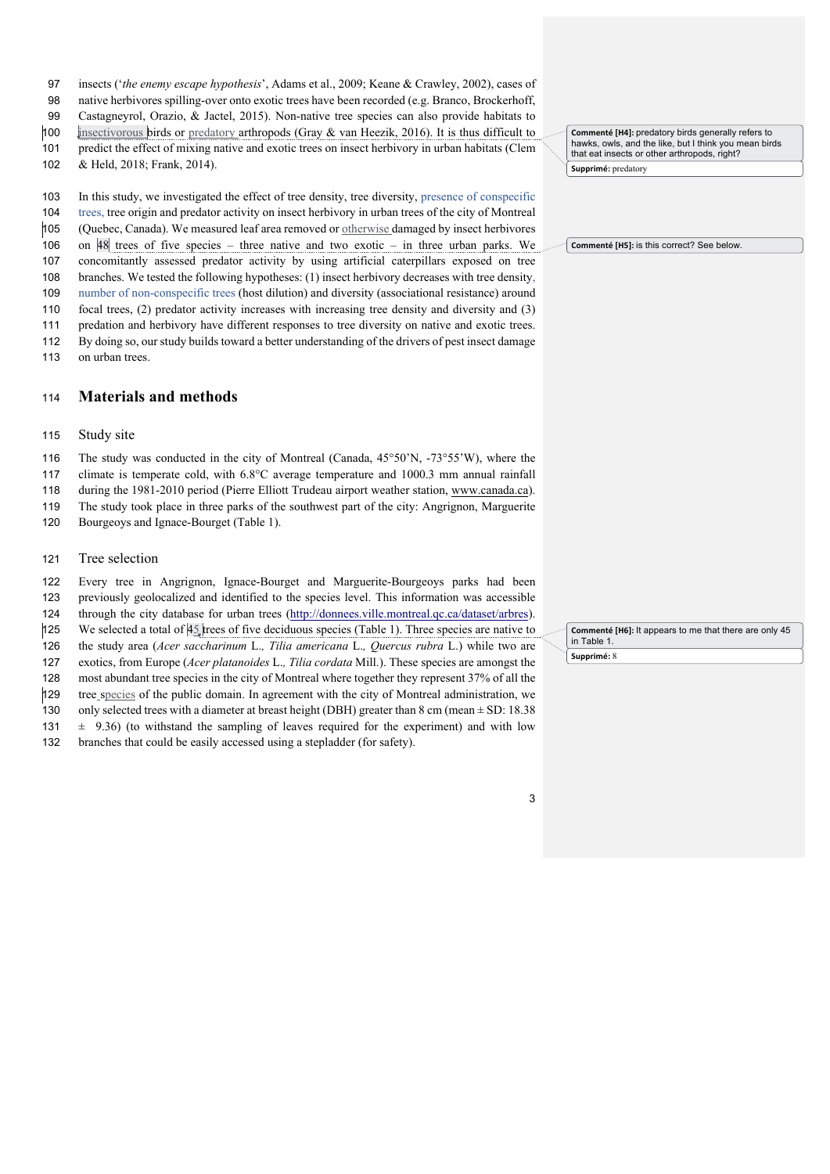- insects ('*the enemy escape hypothesis*', Adams et al., 2009; Keane & Crawley, 2002), cases of
- native herbivores spilling-over onto exotic trees have been recorded (e.g. Branco, Brockerhoff,
- Castagneyrol, Orazio, & Jactel, 2015). Non-native tree species can also provide habitats to
- insectivorous birds or predatory arthropods (Gray & van Heezik, 2016). It is thus difficult to
- predict the effect of mixing native and exotic trees on insect herbivory in urban habitats (Clem

& Held, 2018; Frank, 2014).

In this study, we investigated the effect of tree density, tree diversity, presence of conspecific

- trees, tree origin and predator activity on insect herbivory in urban trees of the city of Montreal (Quebec, Canada). We measured leaf area removed or otherwise damaged by insect herbivores
- on 48 trees of five species three native and two exotic in three urban parks. We
- concomitantly assessed predator activity by using artificial caterpillars exposed on tree
- branches. We tested the following hypotheses: (1) insect herbivory decreases with tree density,
- number of non-conspecific trees (host dilution) and diversity (associational resistance) around
- focal trees, (2) predator activity increases with increasing tree density and diversity and (3)
- predation and herbivory have different responses to tree diversity on native and exotic trees.
- By doing so, our study builds toward a better understanding of the drivers of pest insect damage on urban trees.

# **Materials and methods**

### Study site

The study was conducted in the city of Montreal (Canada, 45°50'N, -73°55'W), where the

- climate is temperate cold, with 6.8°C average temperature and 1000.3 mm annual rainfall
- during the 1981-2010 period (Pierre Elliott Trudeau airport weather station, www.canada.ca).
- The study took place in three parks of the southwest part of the city: Angrignon, Marguerite
- 120 Bourgeoys and Ignace-Bourget (Table 1).

# Tree selection

 Every tree in Angrignon, Ignace-Bourget and Marguerite-Bourgeoys parks had been previously geolocalized and identified to the species level. This information was accessible

- through the city database for urban trees (http://donnees.ville.montreal.qc.ca/dataset/arbres).
- 125 We selected a total of trees of five deciduous species (Table 1). Three species are native to
- the study area (*Acer saccharinum* L.*, Tilia americana* L.*, Quercus rubra* L.) while two are
- exotics, from Europe (*Acer platanoides* L.*, Tilia cordata* Mill.). These species are amongst the
- most abundant tree species in the city of Montreal where together they represent 37% of all the
- tree species of the public domain. In agreement with the city of Montreal administration, we
- 130 only selected trees with a diameter at breast height (DBH) greater than 8 cm (mean  $\pm$  SD: 18.38 131  $\pm$  9.36) (to withstand the sampling of leaves required for the experiment) and with low
- 132 branches that could be easily accessed using a stepladder (for safety).

Supprimé: predatory Commenté [H4]: predatory birds generally refers to hawks, owls, and the like, but I think you mean birds that eat insects or other arthropods, right?

Commenté [H5]: is this correct? See below

Supprimé: 8 **Commenté [H6]:** It appears to me that there are only 45 in Table 1.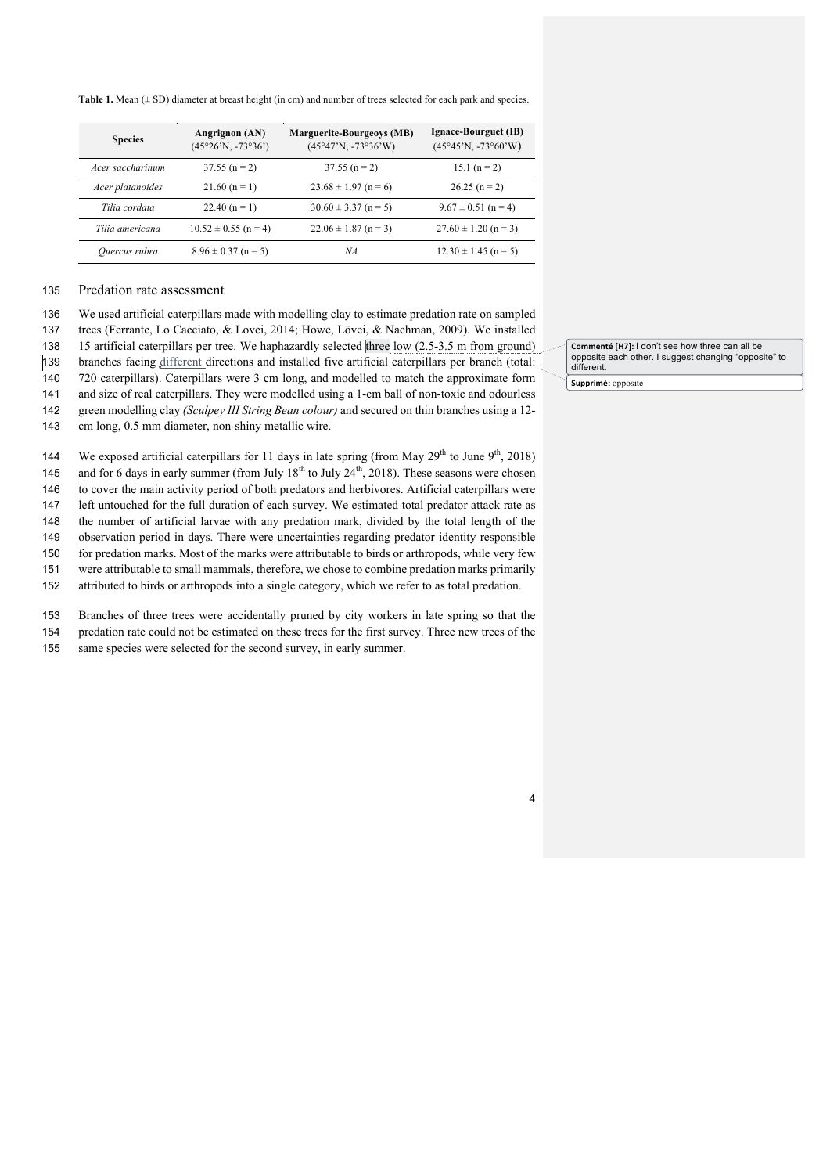Table 1. Mean ( $\pm$  SD) diameter at breast height (in cm) and number of trees selected for each park and species.

| <b>Species</b>   | Angrignon (AN)<br>$(45°26'N, -73°36')$ | <b>Marguerite-Bourgeoys (MB)</b><br>$(45°47'N, -73°36'W)$ | Ignace-Bourguet (IB)<br>$(45°45'N, -73°60'W)$ |
|------------------|----------------------------------------|-----------------------------------------------------------|-----------------------------------------------|
| Acer saccharinum | $37.55(n=2)$                           | $37.55$ (n = 2)                                           | $15.1 (n = 2)$                                |
| Acer platanoides | $21.60 (n = 1)$                        | $23.68 \pm 1.97$ (n = 6)                                  | $26.25(n=2)$                                  |
| Tilia cordata    | 22.40 $(n = 1)$                        | $30.60 \pm 3.37$ (n = 5)                                  | $9.67 \pm 0.51$ (n = 4)                       |
| Tilia americana  | $10.52 \pm 0.55$ (n = 4)               | $22.06 \pm 1.87$ (n = 3)                                  | $27.60 \pm 1.20$ (n = 3)                      |
| Ouercus rubra    | $8.96 \pm 0.37$ (n = 5)                | ΝA                                                        | $12.30 \pm 1.45$ (n = 5)                      |

### 135 Predation rate assessment

136 We used artificial caterpillars made with modelling clay to estimate predation rate on sampled

137 trees (Ferrante, Lo Cacciato, & Lovei, 2014; Howe, Lövei, & Nachman, 2009). We installed

138 15 artificial caterpillars per tree. We haphazardly selected three low (2.5-3.5 m from ground)<br>
139 branches facing different directions and installed five artificial caterpillars per branch (total:

branches facing different directions and installed five artificial caterpillars per branch (total:

140 720 caterpillars). Caterpillars were 3 cm long, and modelled to match the approximate form

141 and size of real caterpillars. They were modelled using a 1-cm ball of non-toxic and odourless 142 green modelling clay *(Sculpey III String Bean colour)* and secured on thin branches using a 12-

143 cm long, 0.5 mm diameter, non-shiny metallic wire.

144 We exposed artificial caterpillars for 11 days in late spring (from May  $29<sup>th</sup>$  to June  $9<sup>th</sup>$ , 2018)

145 and for 6 days in early summer (from July  $18<sup>th</sup>$  to July  $24<sup>th</sup>$ , 2018). These seasons were chosen 146 to cover the main activity period of both predators and herbivores. Artificial caterpillars were

147 left untouched for the full duration of each survey. We estimated total predator attack rate as

148 the number of artificial larvae with any predation mark, divided by the total length of the

149 observation period in days. There were uncertainties regarding predator identity responsible

150 for predation marks. Most of the marks were attributable to birds or arthropods, while very few

151 were attributable to small mammals, therefore, we chose to combine predation marks primarily

152 attributed to birds or arthropods into a single category, which we refer to as total predation.

153 Branches of three trees were accidentally pruned by city workers in late spring so that the 154 predation rate could not be estimated on these trees for the first survey. Three new trees of the

155 same species were selected for the second survey, in early summer.

**Commenté [H7]:** I don't see how three can all be opposite each other. I suggest changing "opposite" to different.

156 **Supprimé:** opposite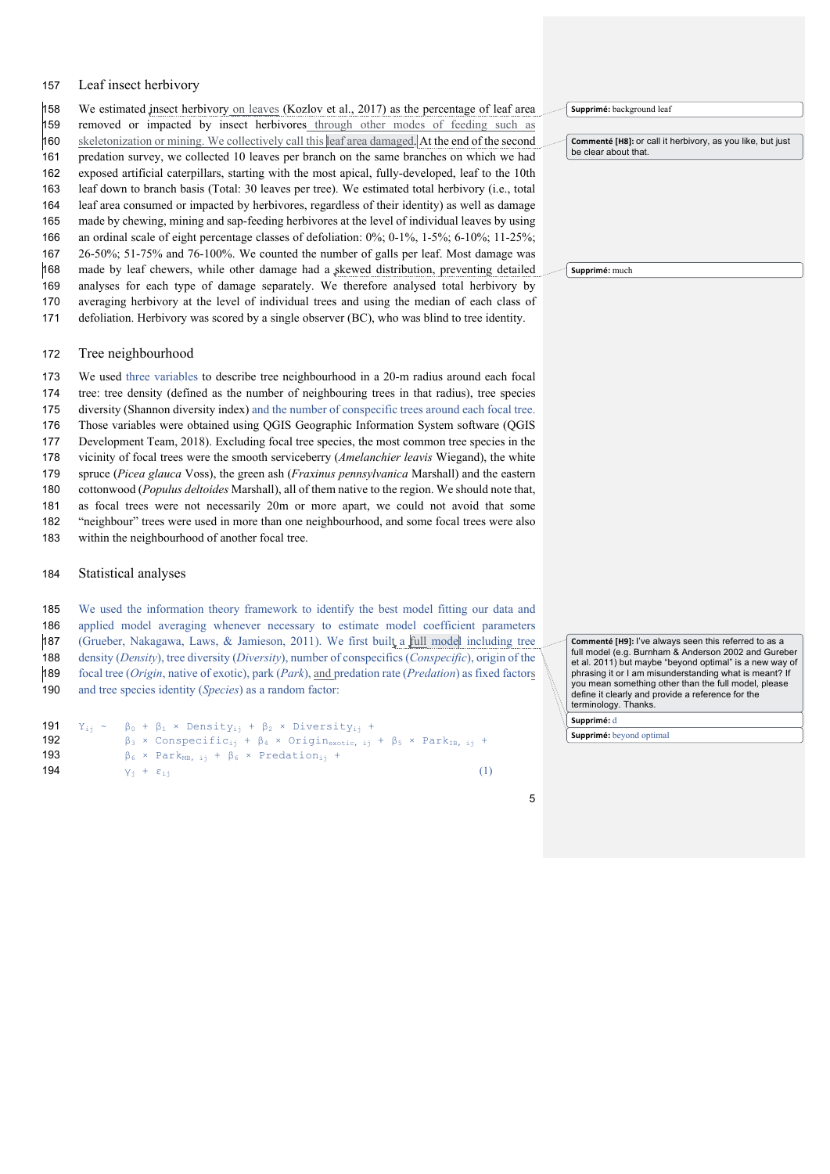### Leaf insect herbivory

 We estimated insect herbivory on leaves (Kozlov et al., 2017) as the percentage of leaf area removed or impacted by insect herbivores through other modes of feeding such as skeletonization or mining. We collectively call this leaf area damaged. At the end of the second predation survey, we collected 10 leaves per branch on the same branches on which we had exposed artificial caterpillars, starting with the most apical, fully-developed, leaf to the 10th leaf down to branch basis (Total: 30 leaves per tree). We estimated total herbivory (i.e., total leaf area consumed or impacted by herbivores, regardless of their identity) as well as damage made by chewing, mining and sap-feeding herbivores at the level of individual leaves by using an ordinal scale of eight percentage classes of defoliation: 0%; 0-1%, 1-5%; 6-10%; 11-25%; 26-50%; 51-75% and 76-100%. We counted the number of galls per leaf. Most damage was made by leaf chewers, while other damage had a skewed distribution, preventing detailed analyses for each type of damage separately. We therefore analysed total herbivory by averaging herbivory at the level of individual trees and using the median of each class of defoliation. Herbivory was scored by a single observer (BC), who was blind to tree identity.

Tree neighbourhood

 We used three variables to describe tree neighbourhood in a 20-m radius around each focal tree: tree density (defined as the number of neighbouring trees in that radius), tree species diversity (Shannon diversity index) and the number of conspecific trees around each focal tree. Those variables were obtained using QGIS Geographic Information System software (QGIS Development Team, 2018). Excluding focal tree species, the most common tree species in the vicinity of focal trees were the smooth serviceberry (*Amelanchier leavis* Wiegand), the white spruce (*Picea glauca* Voss), the green ash (*Fraxinus pennsylvanica* Marshall) and the eastern cottonwood (*Populus deltoides* Marshall), all of them native to the region. We should note that, as focal trees were not necessarily 20m or more apart, we could not avoid that some "neighbour" trees were used in more than one neighbourhood, and some focal trees were also within the neighbourhood of another focal tree.

### Statistical analyses

 We used the information theory framework to identify the best model fitting our data and applied model averaging whenever necessary to estimate model coefficient parameters (Grueber, Nakagawa, Laws, & Jamieson, 2011). We first built a full model including tree density (*Density*), tree diversity (*Diversity*), number of conspecifics (*Conspecific*), origin of the focal tree (*Origin*, native of exotic), park (*Park*), and predation rate (*Predation*) as fixed factors

```
190 and tree species identity (Species) as a random factor:
```

```
191 Y_{ij} \sim \beta_0 + \beta_1 \times \text{Density}_{ij} + \beta_2 \times \text{Diversity}_{ij} + 192<br>192 \beta_3 \times \text{Conspecific}_{ij} + \beta_4 \times \text{Origing}_{\text{extotic},ij}β_3 × Conspecific<sub>ij</sub> + β_4 × Origin<sub>exotic, ij</sub> + β_5 × Park<sub>IB, ij</sub> +
193 \beta_6 \times \text{Park}_{MB, i_1} + \beta_6 \times \text{ Prediction}_{i_1} +194 y_i + \varepsilon_{i,j} (1)
```
Supprimé: background leaf

**Commenté [H8]:** or call it herbivory, as you like, but just be clear about that.

**Supprimé:** much

Commenté [H9]: I've always seen this referred to as a full model (e.g. Burnham & Anderson 2002 and Gureber et al. 2011) but maybe "beyond optimal" is a new way of phrasing it or I am misunderstanding what is meant? If you mean something other than the full model, please define it clearly and provide a reference for the terminology. Thanks.

Supprimé: d

Supprimé: beyond optimal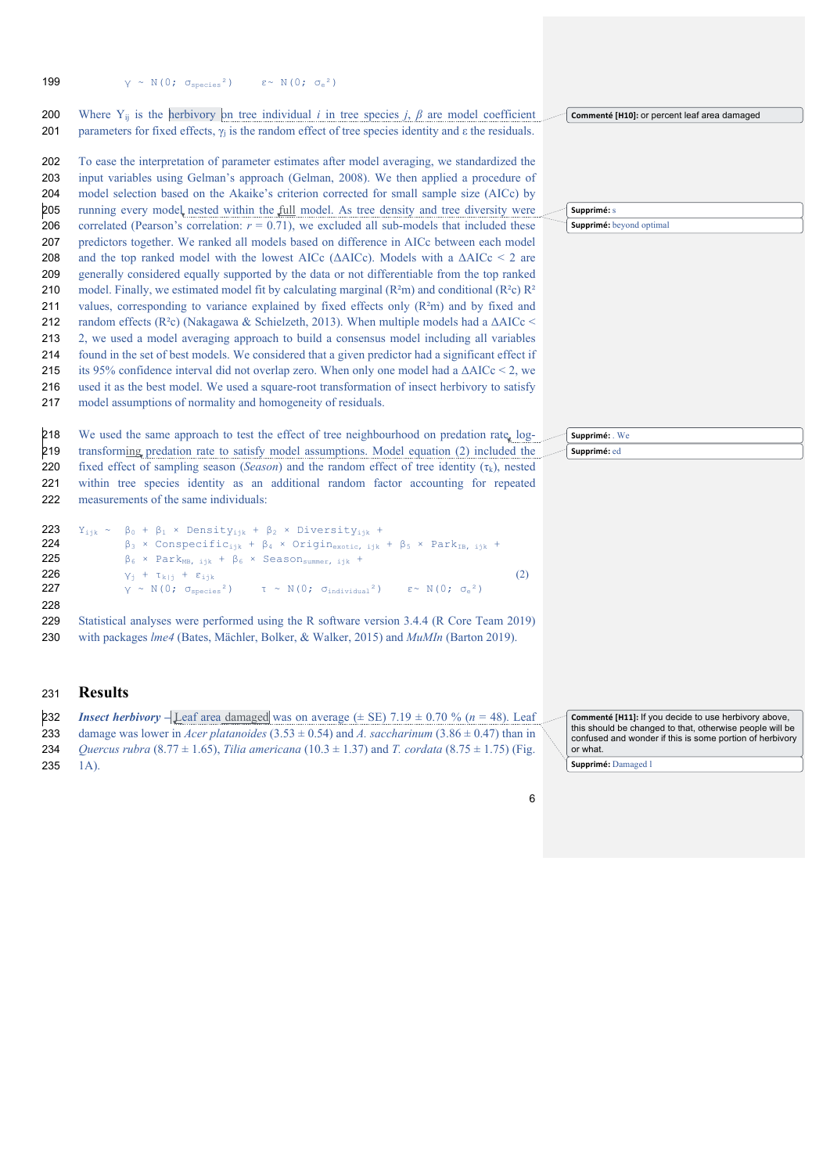| 199                                                                                                                 | $\gamma \ \sim \ \text{N}\,(0\,;\ \sigma_{\text{species}}^{\ 2}\,) \qquad \  \  \epsilon \!\sim \ \text{N}\,(0\,;\ \sigma_{\text{e}}^{\ 2})$                                                                                                                                                                                                                                                                                                                                                                                                                                                                                                                                                                                                                                                                                                                                                                                                                                                                                                                                                                                                                                                                                                                                                                                                                                                                                                                                                                                                                                                                                                                                                                                               |                                                                                                                                                                                                                  |
|---------------------------------------------------------------------------------------------------------------------|--------------------------------------------------------------------------------------------------------------------------------------------------------------------------------------------------------------------------------------------------------------------------------------------------------------------------------------------------------------------------------------------------------------------------------------------------------------------------------------------------------------------------------------------------------------------------------------------------------------------------------------------------------------------------------------------------------------------------------------------------------------------------------------------------------------------------------------------------------------------------------------------------------------------------------------------------------------------------------------------------------------------------------------------------------------------------------------------------------------------------------------------------------------------------------------------------------------------------------------------------------------------------------------------------------------------------------------------------------------------------------------------------------------------------------------------------------------------------------------------------------------------------------------------------------------------------------------------------------------------------------------------------------------------------------------------------------------------------------------------|------------------------------------------------------------------------------------------------------------------------------------------------------------------------------------------------------------------|
| 200                                                                                                                 | Where $Y_{ij}$ is the herbivory on tree individual <i>i</i> in tree species <i>j</i> , $\beta$ are model coefficient                                                                                                                                                                                                                                                                                                                                                                                                                                                                                                                                                                                                                                                                                                                                                                                                                                                                                                                                                                                                                                                                                                                                                                                                                                                                                                                                                                                                                                                                                                                                                                                                                       | Commenté [H10]: or percent leaf area damaged                                                                                                                                                                     |
| 201<br>202<br>203<br>204<br>205<br>206<br>207<br>208<br>209<br>210<br>211<br>212<br>213<br>214<br>215<br>216<br>217 | parameters for fixed effects, $\gamma_i$ is the random effect of tree species identity and $\varepsilon$ the residuals.<br>To ease the interpretation of parameter estimates after model averaging, we standardized the<br>input variables using Gelman's approach (Gelman, 2008). We then applied a procedure of<br>model selection based on the Akaike's criterion corrected for small sample size (AICc) by<br>running every model nested within the full model. As tree density and tree diversity were<br>correlated (Pearson's correlation: $r = 0.71$ ), we excluded all sub-models that included these<br>predictors together. We ranked all models based on difference in AICc between each model<br>and the top ranked model with the lowest AICc ( $\triangle AICc$ ). Models with a $\triangle AICc \leq 2$ are<br>generally considered equally supported by the data or not differentiable from the top ranked<br>model. Finally, we estimated model fit by calculating marginal ( $R2m$ ) and conditional ( $R2c$ ) $R2$<br>values, corresponding to variance explained by fixed effects only (R <sup>2</sup> m) and by fixed and<br>random effects (R <sup>2</sup> c) (Nakagawa & Schielzeth, 2013). When multiple models had a $\Delta AICc$<br>2, we used a model averaging approach to build a consensus model including all variables<br>found in the set of best models. We considered that a given predictor had a significant effect if<br>its 95% confidence interval did not overlap zero. When only one model had a $\triangle AICc \le 2$ , we<br>used it as the best model. We used a square-root transformation of insect herbivory to satisfy<br>model assumptions of normality and homogeneity of residuals. | Supprimé: s<br>Supprimé: beyond optimal                                                                                                                                                                          |
| 218<br>219                                                                                                          | We used the same approach to test the effect of tree neighbourhood on predation rate, log-<br>transforming predation rate to satisfy model assumptions. Model equation (2) included the                                                                                                                                                                                                                                                                                                                                                                                                                                                                                                                                                                                                                                                                                                                                                                                                                                                                                                                                                                                                                                                                                                                                                                                                                                                                                                                                                                                                                                                                                                                                                    | Supprimé: We<br>Supprimé: ed                                                                                                                                                                                     |
| 220                                                                                                                 | fixed effect of sampling season (Season) and the random effect of tree identity $(\tau_k)$ , nested                                                                                                                                                                                                                                                                                                                                                                                                                                                                                                                                                                                                                                                                                                                                                                                                                                                                                                                                                                                                                                                                                                                                                                                                                                                                                                                                                                                                                                                                                                                                                                                                                                        |                                                                                                                                                                                                                  |
| 221<br>222                                                                                                          | within tree species identity as an additional random factor accounting for repeated<br>measurements of the same individuals:                                                                                                                                                                                                                                                                                                                                                                                                                                                                                                                                                                                                                                                                                                                                                                                                                                                                                                                                                                                                                                                                                                                                                                                                                                                                                                                                                                                                                                                                                                                                                                                                               |                                                                                                                                                                                                                  |
| 223<br>224<br>225<br>226<br>227<br>228                                                                              | $Y_{i+k}$ ~ $\beta_0$ + $\beta_1$ × Density <sub>iik</sub> + $\beta_2$ × Diversity <sub>iik</sub> +<br>$\beta_3$ × Conspecific <sub>ijk</sub> + $\beta_4$ × Origin <sub>exotic, ijk</sub> + $\beta_5$ × Park <sub>IB, ijk</sub> +<br>$\beta_6$ × Park <sub>MB</sub> , $_{ijk}$ + $\beta_6$ × Season <sub>summer</sub> , $_{ijk}$ +<br>(2)<br>$Y_i$ + $\tau_{k i}$ + $\varepsilon_{ijk}$<br>$\sqrt{\gamma} \sim N(0; \sigma_{species}^2)$ $\tau \sim N(0; \sigma_{individual}^2)$ $\epsilon \sim N(0; \sigma_e^2)$                                                                                                                                                                                                                                                                                                                                                                                                                                                                                                                                                                                                                                                                                                                                                                                                                                                                                                                                                                                                                                                                                                                                                                                                                          |                                                                                                                                                                                                                  |
| 229<br>230                                                                                                          | Statistical analyses were performed using the R software version 3.4.4 (R Core Team 2019)<br>with packages <i>lme4</i> (Bates, Mächler, Bolker, & Walker, 2015) and <i>MuMIn</i> (Barton 2019).                                                                                                                                                                                                                                                                                                                                                                                                                                                                                                                                                                                                                                                                                                                                                                                                                                                                                                                                                                                                                                                                                                                                                                                                                                                                                                                                                                                                                                                                                                                                            |                                                                                                                                                                                                                  |
| 231                                                                                                                 | <b>Results</b>                                                                                                                                                                                                                                                                                                                                                                                                                                                                                                                                                                                                                                                                                                                                                                                                                                                                                                                                                                                                                                                                                                                                                                                                                                                                                                                                                                                                                                                                                                                                                                                                                                                                                                                             |                                                                                                                                                                                                                  |
| 232<br>233<br>234<br>235                                                                                            | <b>Insect herbivory</b> $-\underline{\text{Leaf}}$ area damaged was on average ( $\pm$ SE) 7.19 $\pm$ 0.70 % (n = 48). Leaf<br>damage was lower in Acer platanoides $(3.53 \pm 0.54)$ and A. saccharinum $(3.86 \pm 0.47)$ than in<br>Quercus rubra (8.77 $\pm$ 1.65), Tilia americana (10.3 $\pm$ 1.37) and T. cordata (8.75 $\pm$ 1.75) (Fig.<br>$1A)$ .                                                                                                                                                                                                                                                                                                                                                                                                                                                                                                                                                                                                                                                                                                                                                                                                                                                                                                                                                                                                                                                                                                                                                                                                                                                                                                                                                                                 | Commenté [H11]: If you decide to use herbivory above,<br>this should be changed to that, otherwise people will be<br>confused and wonder if this is some portion of herbivory<br>or what.<br>Supprimé: Damaged l |
|                                                                                                                     |                                                                                                                                                                                                                                                                                                                                                                                                                                                                                                                                                                                                                                                                                                                                                                                                                                                                                                                                                                                                                                                                                                                                                                                                                                                                                                                                                                                                                                                                                                                                                                                                                                                                                                                                            |                                                                                                                                                                                                                  |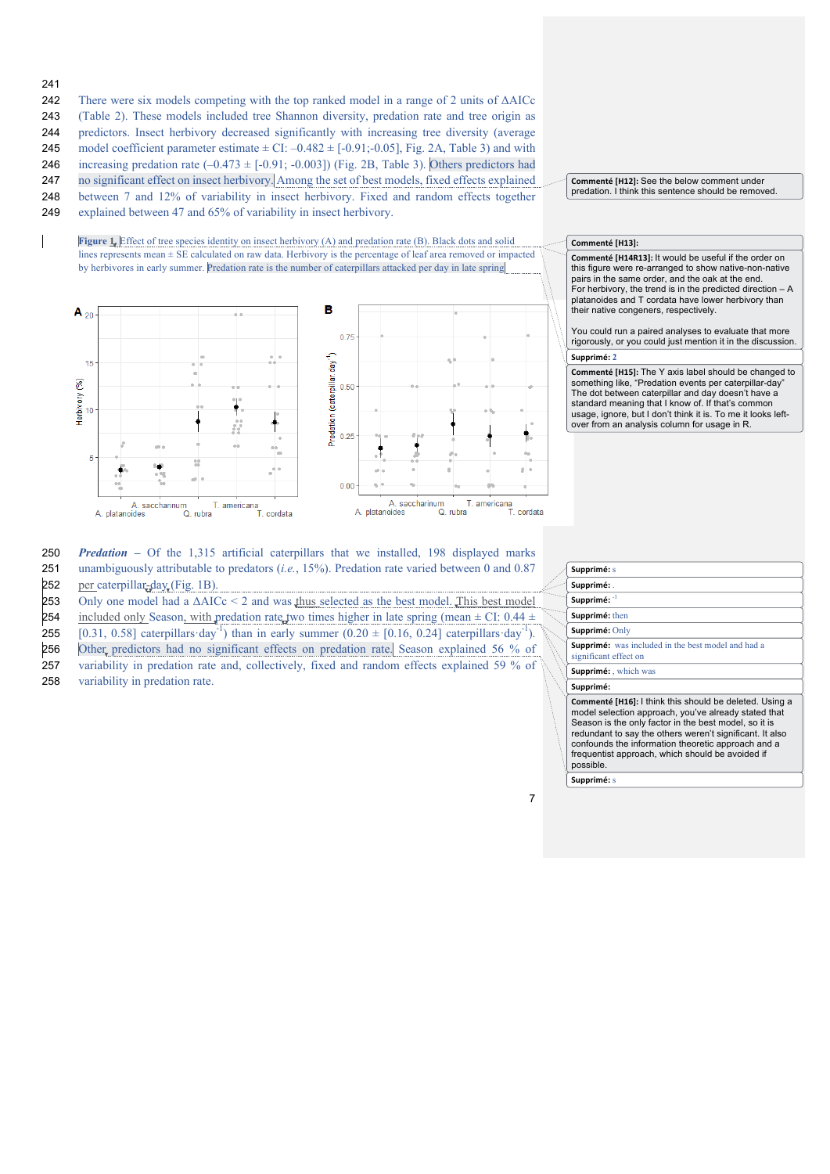- 241
- 242 There were six models competing with the top ranked model in a range of 2 units of ΔAICc

243 (Table 2). These models included tree Shannon diversity, predation rate and tree origin as

- 244 predictors. Insect herbivory decreased significantly with increasing tree diversity (average
- 245 model coefficient parameter estimate  $\pm$  CI: –0.482  $\pm$  [-0.91;-0.05], Fig. 2A, Table 3) and with 246 increasing predation rate  $(-0.473 \pm [-0.91; -0.003])$  (Fig. 2B, Table 3). Others predictors had
- 247 no significant effect on insect herbivory. Among the set of best models, fixed effects explained
- 248 between 7 and 12% of variability in insect herbivory. Fixed and random effects together
- 249 explained between 47 and 65% of variability in insect herbivory.

**Figure 1.** Effect of tree species identity on insect herbivory (A) and predation rate (B). Black dots and solid lines represents mean ± SE calculated on raw data. Herbivory is the percentage of leaf area removed or impacted by herbivores in early summer. Predation rate is the number of caterpillars attacked per day in late spring



#### **Commenté [H12]:** See the below comment under predation. I think this sentence should be removed.

### Commenté [H13]:

Commenté [H14R13]: It would be useful if the order on this figure were re-arranged to show native-non-native pairs in the same order, and the oak at the end. For herbivory, the trend is in the predicted direction – A platanoides and T cordata have lower herbivory than their native congeners, respectively.

**Supprimé: 2** You could run a paired analyses to evaluate that more rigorously, or you could just mention it in the discussion.

**Commenté [H15]:** The Y axis label should be changed to something like, "Predation events per caterpillar-day" The dot between caterpillar and day doesn't have a standard meaning that I know of. If that's common usage, ignore, but I don't think it is. To me it looks leftover from an analysis column for usage in R.

| 250 | <b><i>Predation</i></b> – Of the 1.315 artificial caterpillars that we installed, 198 displayed marks  |
|-----|--------------------------------------------------------------------------------------------------------|
| 251 | unambiguously attributable to predators ( <i>i.e.</i> , 15%). Predation rate varied between 0 and 0.87 |
| 252 | per caterpillar-day (Fig. 1B).                                                                         |

253 Only one model had a  $\triangle$ AICc < 2 and was thus selected as the best model. This best model

- 254 included only Season, with predation rate two times higher in late spring (mean  $\pm$  CI: 0.44  $\pm$
- 255 [0.31, 0.58] caterpillars day<sup>-1</sup>) than in early summer  $(0.20 \pm [0.16, 0.24]$  caterpillars day<sup>-1</sup>).
- 256 Other predictors had no significant effects on predation rate. Season explained 56 % of

257 variability in predation rate and, collectively, fixed and random effects explained 59 % of

258 variability in predation rate.

#### **Supprimé:** s 260 **Supprimé:** . Supprimé: **Supprimé:** then 263 **Supprimé:** Only **Supprimé:** was included in the best model and had a significant effect on **Supprimé:** which was Supprimé: **Commenté [H16]:** I think this should be deleted. Using a model selection approach, you've already stated that Season is the only factor in the best model, so it is redundant to say the others weren't significant. It also confounds the information theoretic approach and a

frequentist approach, which should be avoided if

7

Supprimé: s

possible.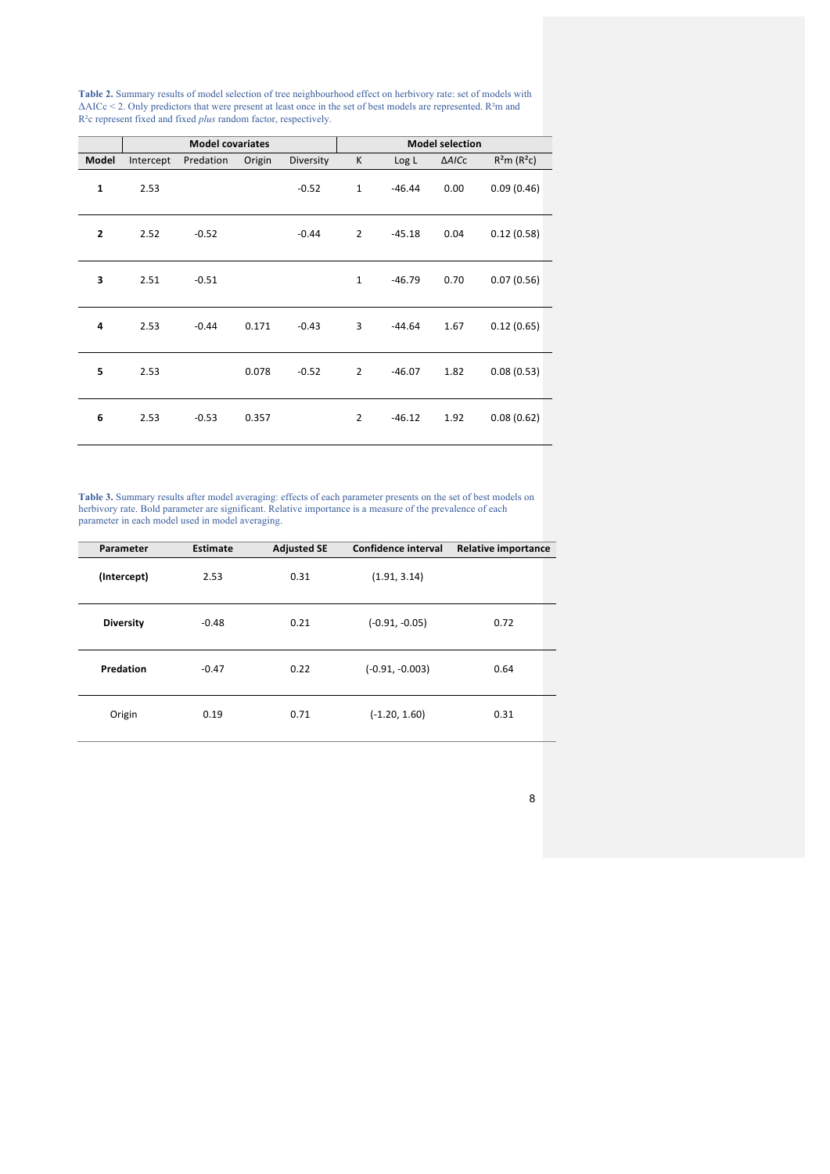**Table 2.** Summary results of model selection of tree neighbourhood effect on herbivory rate: set of models with ∆AICc < 2. Only predictors that were present at least once in the set of best models are represented. R²m and R²c represent fixed and fixed *plus* random factor, respectively.

|              | <b>Model covariates</b> |           |        |           |                |          | <b>Model selection</b> |                   |
|--------------|-------------------------|-----------|--------|-----------|----------------|----------|------------------------|-------------------|
| Model        | Intercept               | Predation | Origin | Diversity | К              | Log L    | ∆AICc                  | $R^2m$ ( $R^2c$ ) |
| $\mathbf{1}$ | 2.53                    |           |        | $-0.52$   | $\mathbf{1}$   | $-46.44$ | 0.00                   | 0.09(0.46)        |
| $\mathbf{2}$ | 2.52                    | $-0.52$   |        | $-0.44$   | $\overline{2}$ | $-45.18$ | 0.04                   | 0.12(0.58)        |
| 3            | 2.51                    | $-0.51$   |        |           | $1\,$          | $-46.79$ | 0.70                   | 0.07(0.56)        |
| 4            | 2.53                    | $-0.44$   | 0.171  | $-0.43$   | 3              | $-44.64$ | 1.67                   | 0.12(0.65)        |
| 5            | 2.53                    |           | 0.078  | $-0.52$   | $\overline{2}$ | $-46.07$ | 1.82                   | 0.08(0.53)        |
| 6            | 2.53                    | $-0.53$   | 0.357  |           | $\overline{2}$ | $-46.12$ | 1.92                   | 0.08(0.62)        |

**Table 3.** Summary results after model averaging: effects of each parameter presents on the set of best models on herbivory rate. Bold parameter are significant. Relative importance is a measure of the prevalence of each parameter in each model used in model averaging.

| Parameter        | Estimate | <b>Adjusted SE</b> | Confidence interval | <b>Relative importance</b> |
|------------------|----------|--------------------|---------------------|----------------------------|
| (Intercept)      | 2.53     | 0.31               | (1.91, 3.14)        |                            |
| <b>Diversity</b> | $-0.48$  | 0.21               | $(-0.91, -0.05)$    | 0.72                       |
| Predation        | $-0.47$  | 0.22               | $(-0.91, -0.003)$   | 0.64                       |
| Origin           | 0.19     | 0.71               | $(-1.20, 1.60)$     | 0.31                       |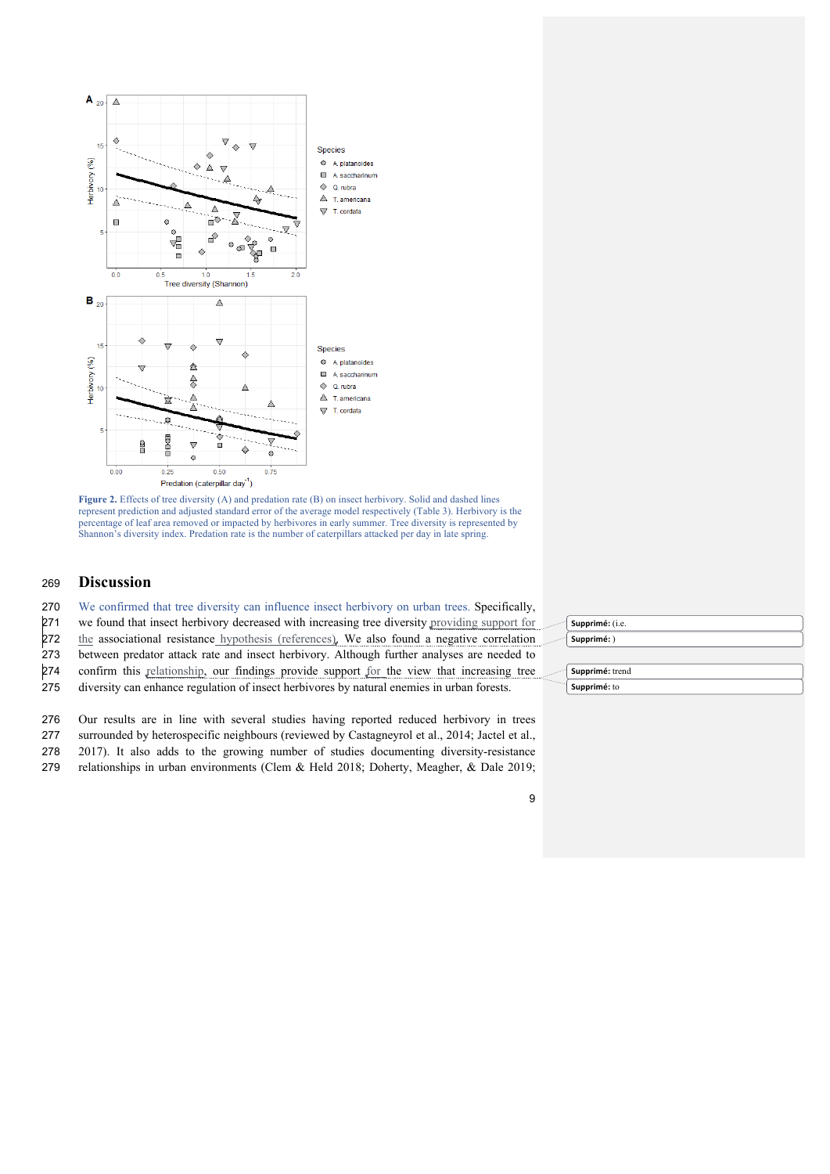

Figure 2. Effects of tree diversity (A) and predation rate (B) on insect herbivory. Solid and dashed lines represent prediction and adjusted standard error of the average model respectively (Table 3). Herbivory is the percentage of leaf area removed or impacted by herbivores in early summer. Tree diversity is represented by Shannon's diversity index. Predation rate is the number of caterpillars attacked per day in late spring.

# **Discussion**

We confirmed that tree diversity can influence insect herbivory on urban trees. Specifically,

we found that insect herbivory decreased with increasing tree diversity providing support for

272 the associational resistance hypothesis (references). We also found a negative correlation

between predator attack rate and insect herbivory. Although further analyses are needed to

confirm this relationship, our findings provide support for the view that increasing tree

diversity can enhance regulation of insect herbivores by natural enemies in urban forests.

Our results are in line with several studies having reported reduced herbivory in trees

surrounded by heterospecific neighbours (reviewed by Castagneyrol et al., 2014; Jactel et al.,

2017). It also adds to the growing number of studies documenting diversity-resistance

relationships in urban environments (Clem & Held 2018; Doherty, Meagher, & Dale 2019;

| Supprimé: (i.e. |
|-----------------|
| Supprimé: )     |
|                 |
| Supprimé: trend |
| Supprimé: to    |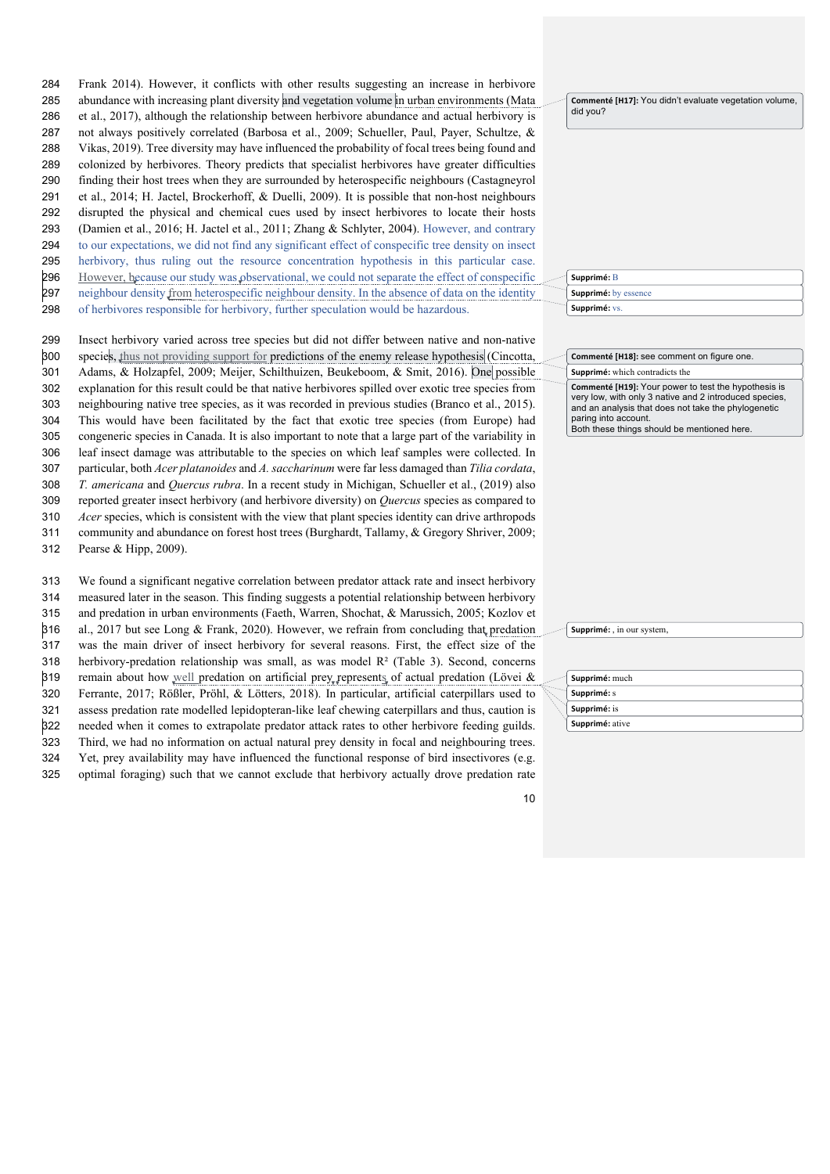Frank 2014). However, it conflicts with other results suggesting an increase in herbivore abundance with increasing plant diversity and vegetation volume in urban environments (Mata et al., 2017), although the relationship between herbivore abundance and actual herbivory is not always positively correlated (Barbosa et al., 2009; Schueller, Paul, Payer, Schultze, & Vikas, 2019). Tree diversity may have influenced the probability of focal trees being found and colonized by herbivores. Theory predicts that specialist herbivores have greater difficulties finding their host trees when they are surrounded by heterospecific neighbours (Castagneyrol et al., 2014; H. Jactel, Brockerhoff, & Duelli, 2009). It is possible that non-host neighbours disrupted the physical and chemical cues used by insect herbivores to locate their hosts (Damien et al., 2016; H. Jactel et al., 2011; Zhang & Schlyter, 2004). However, and contrary to our expectations, we did not find any significant effect of conspecific tree density on insect herbivory, thus ruling out the resource concentration hypothesis in this particular case. 296 However, because our study was observational, we could not separate the effect of conspecific neighbour density from heterospecific neighbour density. In the absence of data on the identity

of herbivores responsible for herbivory, further speculation would be hazardous.

 Insect herbivory varied across tree species but did not differ between native and non-native species, thus not providing support for predictions of the enemy release hypothesis (Cincotta, Adams, & Holzapfel, 2009; Meijer, Schilthuizen, Beukeboom, & Smit, 2016). One possible explanation for this result could be that native herbivores spilled over exotic tree species from neighbouring native tree species, as it was recorded in previous studies (Branco et al., 2015). This would have been facilitated by the fact that exotic tree species (from Europe) had congeneric species in Canada. It is also important to note that a large part of the variability in leaf insect damage was attributable to the species on which leaf samples were collected. In particular, both *Acer platanoides* and *A. saccharinum* were far less damaged than *Tilia cordata*, *T. americana* and *Quercus rubra*. In a recent study in Michigan, Schueller et al., (2019) also reported greater insect herbivory (and herbivore diversity) on *Quercus* species as compared to *Acer* species, which is consistent with the view that plant species identity can drive arthropods community and abundance on forest host trees (Burghardt, Tallamy, & Gregory Shriver, 2009;

Pearse & Hipp, 2009).

 We found a significant negative correlation between predator attack rate and insect herbivory measured later in the season. This finding suggests a potential relationship between herbivory and predation in urban environments (Faeth, Warren, Shochat, & Marussich, 2005; Kozlov et al., 2017 but see Long & Frank, 2020). However, we refrain from concluding that predation was the main driver of insect herbivory for several reasons. First, the effect size of the 318 herbivory-predation relationship was small, as was model  $R<sup>2</sup>$  (Table 3). Second, concerns 319 remain about how well predation on artificial prey represents of actual predation (Lövei  $\&$  Ferrante, 2017; Rößler, Pröhl, & Lötters, 2018). In particular, artificial caterpillars used to assess predation rate modelled lepidopteran-like leaf chewing caterpillars and thus, caution is needed when it comes to extrapolate predator attack rates to other herbivore feeding guilds. Third, we had no information on actual natural prey density in focal and neighbouring trees. Yet, prey availability may have influenced the functional response of bird insectivores (e.g. optimal foraging) such that we cannot exclude that herbivory actually drove predation rate **Commenté [H17]:** You didn't evaluate vegetation volume, did you?

|  | Supprimé: B                 |
|--|-----------------------------|
|  | <b>Supprimé:</b> by essence |
|  | Supprimé: vs.               |

**Supprimé:** which contradicts the **Commenté [H18]:** see comment on figure one.

**Commenté [H19]:** Your power to test the hypothesis is very low, with only 3 native and 2 introduced species, and an analysis that does not take the phylogenetic paring into account. Both these things should be mentioned here.

**Supprimé:** in our system

| Supprimé: much  |
|-----------------|
| Supprimé: s     |
| Supprimé: is    |
| Supprimé: ative |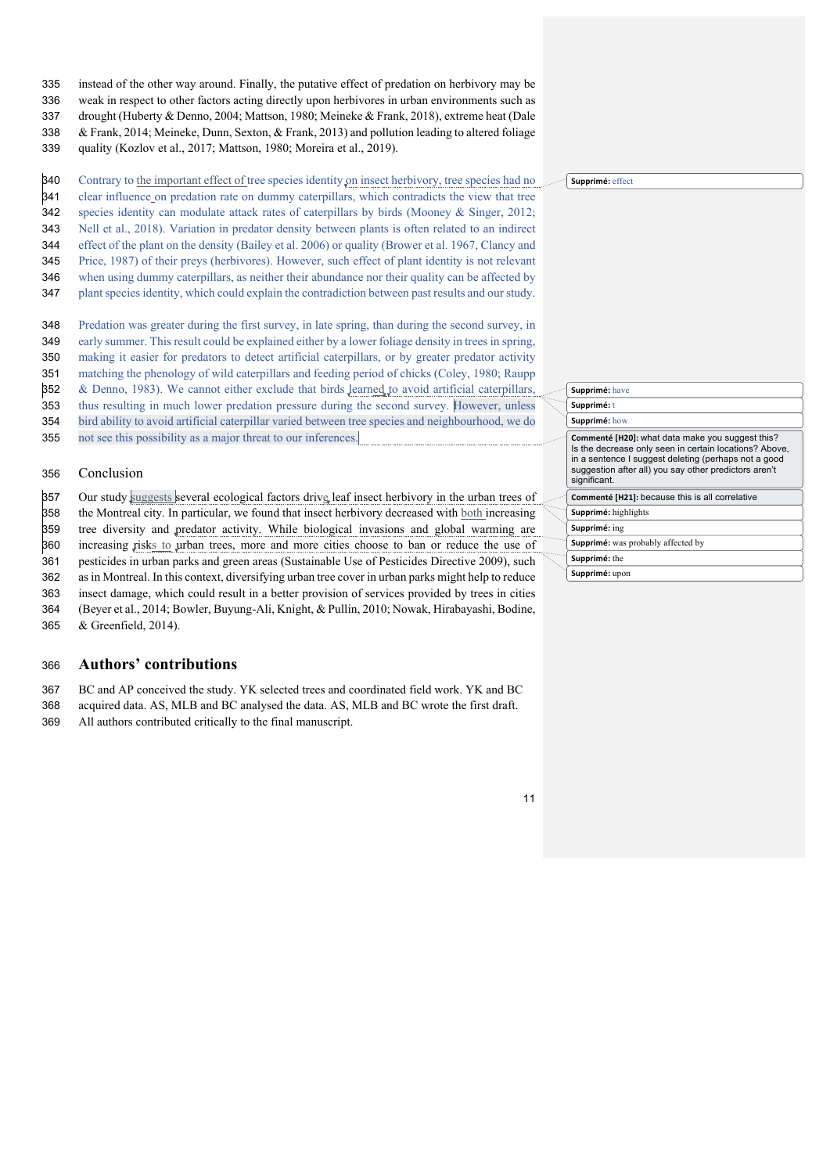- instead of the other way around. Finally, the putative effect of predation on herbivory may be
- weak in respect to other factors acting directly upon herbivores in urban environments such as
- drought (Huberty & Denno, 2004; Mattson, 1980; Meineke & Frank, 2018), extreme heat (Dale
- & Frank, 2014; Meineke, Dunn, Sexton, & Frank, 2013) and pollution leading to altered foliage
- quality (Kozlov et al., 2017; Mattson, 1980; Moreira et al., 2019).

Contrary to the important effect of tree species identity on insect herbivory, tree species had no

- 341 clear influence on predation rate on dummy caterpillars, which contradicts the view that tree
- species identity can modulate attack rates of caterpillars by birds (Mooney & Singer, 2012;
- Nell et al., 2018). Variation in predator density between plants is often related to an indirect
- effect of the plant on the density (Bailey et al. 2006) or quality (Brower et al. 1967, Clancy and
- Price, 1987) of their preys (herbivores). However, such effect of plant identity is not relevant
- when using dummy caterpillars, as neither their abundance nor their quality can be affected by
- plant species identity, which could explain the contradiction between past results and our study.
- Predation was greater during the first survey, in late spring, than during the second survey, in early summer. This result could be explained either by a lower foliage density in trees in spring,
- making it easier for predators to detect artificial caterpillars, or by greater predator activity
- matching the phenology of wild caterpillars and feeding period of chicks (Coley, 1980; Raupp
- 352 & Denno, 1983). We cannot either exclude that birds Jearned to avoid artificial caterpillars,
- thus resulting in much lower predation pressure during the second survey. However, unless
- bird ability to avoid artificial caterpillar varied between tree species and neighbourhood, we do
- not see this possibility as a major threat to our inferences.

### Conclusion

 Our study suggests several ecological factors drive leaf insect herbivory in the urban trees of the Montreal city. In particular, we found that insect herbivory decreased with both increasing tree diversity and predator activity. While biological invasions and global warming are increasing risks to urban trees, more and more cities choose to ban or reduce the use of pesticides in urban parks and green areas (Sustainable Use of Pesticides Directive 2009), such as in Montreal. In this context, diversifying urban tree cover in urban parks might help to reduce insect damage, which could result in a better provision of services provided by trees in cities (Beyer et al., 2014; Bowler, Buyung-Ali, Knight, & Pullin, 2010; Nowak, Hirabayashi, Bodine, & Greenfield, 2014).

# **Authors' contributions**

BC and AP conceived the study. YK selected trees and coordinated field work. YK and BC

- acquired data. AS, MLB and BC analysed the data. AS, MLB and BC wrote the first draft.
- All authors contributed critically to the final manuscript.

| <sup>---</sup> ] Supprimé: effect |  |
|-----------------------------------|--|
|                                   |  |

| Supprimé: have                                                                                                                                                                                                                              |
|---------------------------------------------------------------------------------------------------------------------------------------------------------------------------------------------------------------------------------------------|
| Supprimé: t                                                                                                                                                                                                                                 |
| Supprimé: how                                                                                                                                                                                                                               |
| Commenté [H20]: what data make you suggest this?<br>Is the decrease only seen in certain locations? Above,<br>in a sentence I suggest deleting (perhaps not a good<br>suggestion after all) you say other predictors aren't<br>significant. |
| Commenté [H21]: because this is all correlative                                                                                                                                                                                             |
| Supprimé: highlights                                                                                                                                                                                                                        |
| Supprimé: ing                                                                                                                                                                                                                               |
| Supprimé: was probably affected by                                                                                                                                                                                                          |
| Supprimé: the                                                                                                                                                                                                                               |
| Supprimé: upon                                                                                                                                                                                                                              |
|                                                                                                                                                                                                                                             |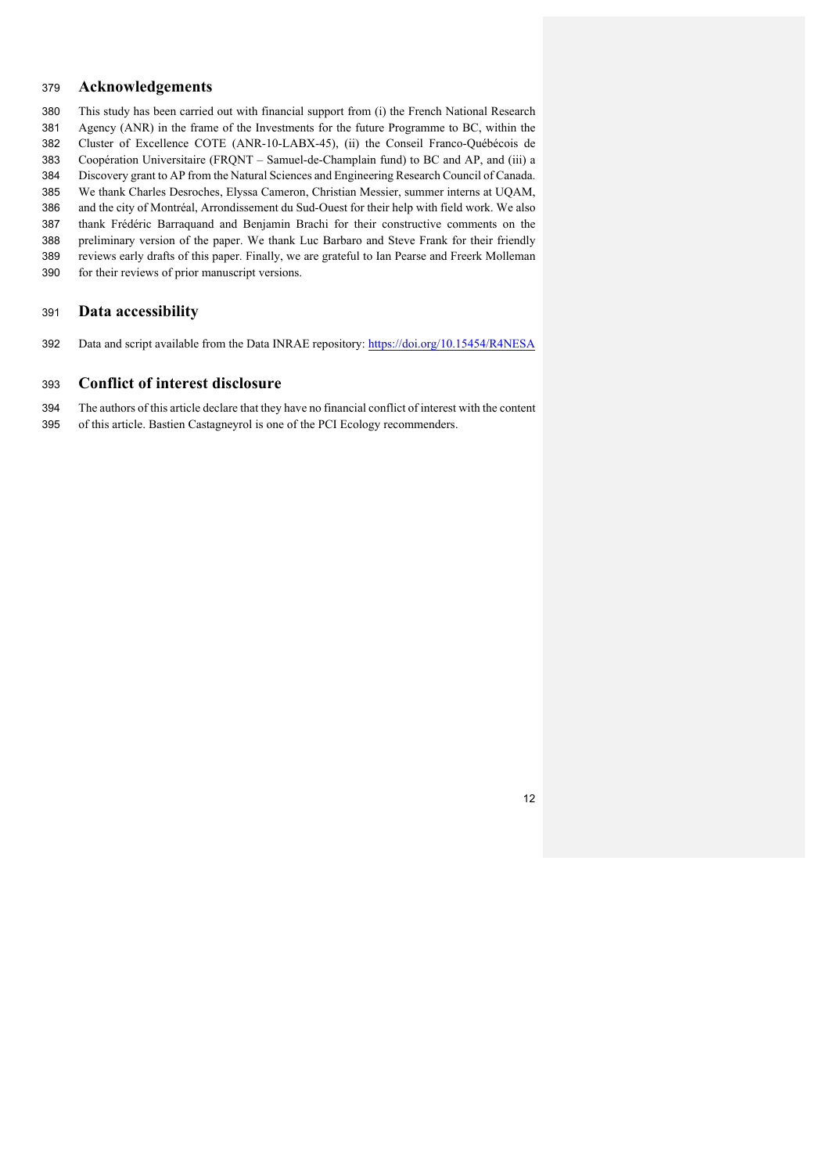# **Acknowledgements**

- This study has been carried out with financial support from (i) the French National Research
- Agency (ANR) in the frame of the Investments for the future Programme to BC, within the Cluster of Excellence COTE (ANR-10-LABX-45), (ii) the Conseil Franco-Québécois de
- Coopération Universitaire (FRQNT Samuel-de-Champlain fund) to BC and AP, and (iii) a
- Discovery grant to AP from the Natural Sciences and Engineering Research Council of Canada.
- We thank Charles Desroches, Elyssa Cameron, Christian Messier, summer interns at UQAM,
- and the city of Montréal, Arrondissement du Sud-Ouest for their help with field work. We also
- thank Frédéric Barraquand and Benjamin Brachi for their constructive comments on the
- preliminary version of the paper. We thank Luc Barbaro and Steve Frank for their friendly
- reviews early drafts of this paper. Finally, we are grateful to Ian Pearse and Freerk Molleman
- for their reviews of prior manuscript versions.

# **Data accessibility**

Data and script available from the Data INRAE repository: https://doi.org/10.15454/R4NESA

### **Conflict of interest disclosure**

- The authors of this article declare that they have no financial conflict of interest with the content
- of this article. Bastien Castagneyrol is one of the PCI Ecology recommenders.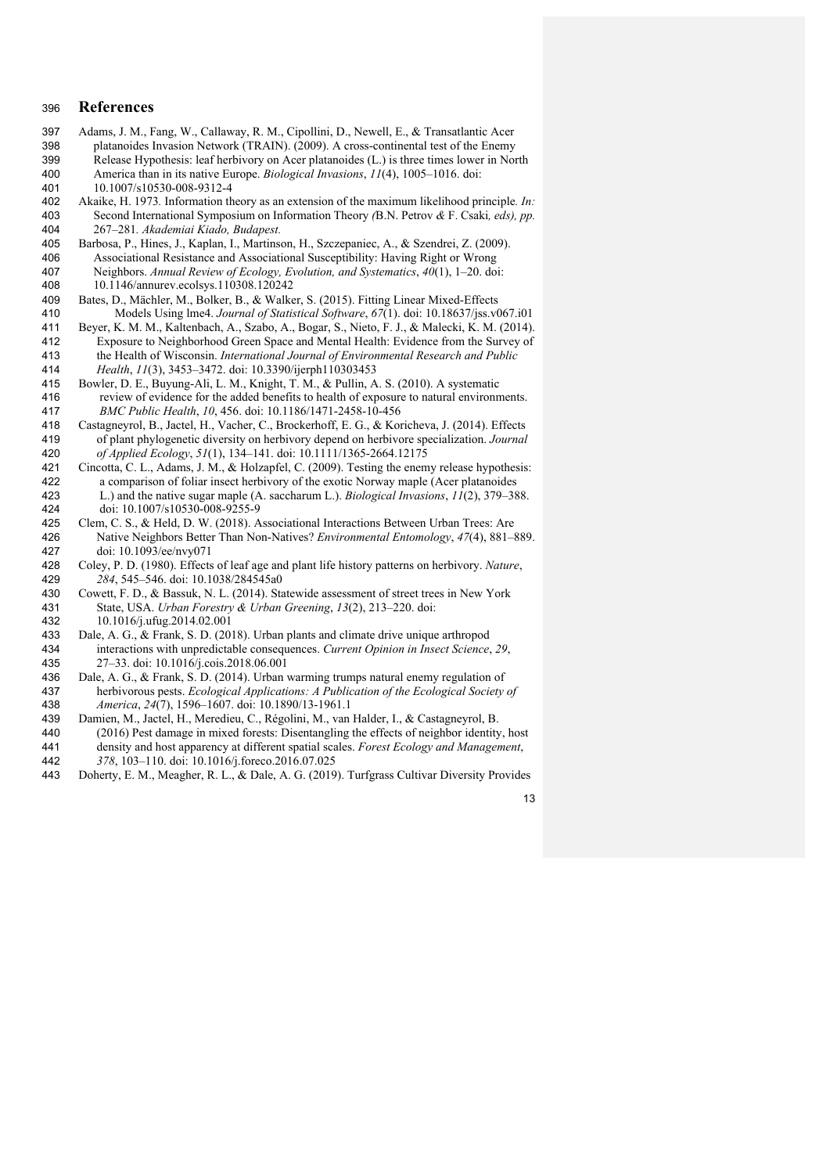### **References**

- 397 Adams, J. M., Fang, W., Callaway, R. M., Cipollini, D., Newell, E., & Transatlantic Acer<br>398 platanoides Invasion Network (TRAIN). (2009). A cross-continental test of the Enemy platanoides Invasion Network (TRAIN). (2009). A cross-continental test of the Enemy 399 Release Hypothesis: leaf herbivory on Acer platanoides  $(L)$  is three times lower in North 400 America than in its native Europe *Riological Invasions*  $11(4)$  1005–1016 doi America than in its native Europe. *Biological Invasions*,  $11(4)$ , 1005–1016. doi: 10.1007/s10530-008-9312-4
- 
- Akaike, H. 1973*.* Information theory as an extension of the maximum likelihood principle*. In:* Second International Symposium on Information Theory *(*B.N. Petrov *&* F. Csaki*, eds), pp.* 267*–*281*. Akademiai Kiado, Budapest.*
- Barbosa, P., Hines, J., Kaplan, I., Martinson, H., Szczepaniec, A., & Szendrei, Z. (2009). Associational Resistance and Associational Susceptibility: Having Right or Wrong Neighbors. *Annual Review of Ecology, Evolution, and Systematics*, *40*(1), 1–20. doi: 10.1146/annurev.ecolsys.110308.120242
- Bates, D., Mächler, M., Bolker, B., & Walker, S. (2015). Fitting Linear Mixed-Effects Models Using lme4. *Journal of Statistical Software*, *67*(1). doi: 10.18637/jss.v067.i01
- Beyer, K. M. M., Kaltenbach, A., Szabo, A., Bogar, S., Nieto, F. J., & Malecki, K. M. (2014). Exposure to Neighborhood Green Space and Mental Health: Evidence from the Survey of the Health of Wisconsin. *International Journal of Environmental Research and Public Health*, *11*(3), 3453–3472. doi: 10.3390/ijerph110303453
- Bowler, D. E., Buyung-Ali, L. M., Knight, T. M., & Pullin, A. S. (2010). A systematic review of evidence for the added benefits to health of exposure to natural environments. *BMC Public Health*, *10*, 456. doi: 10.1186/1471-2458-10-456
- Castagneyrol, B., Jactel, H., Vacher, C., Brockerhoff, E. G., & Koricheva, J. (2014). Effects of plant phylogenetic diversity on herbivory depend on herbivore specialization. *Journal of Applied Ecology*, *51*(1), 134–141. doi: 10.1111/1365-2664.12175
- Cincotta, C. L., Adams, J. M., & Holzapfel, C. (2009). Testing the enemy release hypothesis: a comparison of foliar insect herbivory of the exotic Norway maple (Acer platanoides L.) and the native sugar maple (A. saccharum L.). *Biological Invasions*, *11*(2), 379–388. doi: 10.1007/s10530-008-9255-9
- Clem, C. S., & Held, D. W. (2018). Associational Interactions Between Urban Trees: Are Native Neighbors Better Than Non-Natives? *Environmental Entomology*, *47*(4), 881–889. doi: 10.1093/ee/nvy071
- Coley, P. D. (1980). Effects of leaf age and plant life history patterns on herbivory. *Nature*,  *284*, 545–546. doi: 10.1038/284545a0
- Cowett, F. D., & Bassuk, N. L. (2014). Statewide assessment of street trees in New York State, USA. *Urban Forestry & Urban Greening*, *13*(2), 213–220. doi: 10.1016/j.ufug.2014.02.001
- Dale, A. G., & Frank, S. D. (2018). Urban plants and climate drive unique arthropod interactions with unpredictable consequences. *Current Opinion in Insect Science*, *29*, 27–33. doi: 10.1016/j.cois.2018.06.001
- Dale, A. G., & Frank, S. D. (2014). Urban warming trumps natural enemy regulation of herbivorous pests. *Ecological Applications: A Publication of the Ecological Society of America*, *24*(7), 1596–1607. doi: 10.1890/13-1961.1
- Damien, M., Jactel, H., Meredieu, C., Régolini, M., van Halder, I., & Castagneyrol, B. (2016) Pest damage in mixed forests: Disentangling the effects of neighbor identity, host density and host apparency at different spatial scales. *Forest Ecology and Management*,
- *378*, 103–110. doi: 10.1016/j.foreco.2016.07.025 Doherty, E. M., Meagher, R. L., & Dale, A. G. (2019). Turfgrass Cultivar Diversity Provides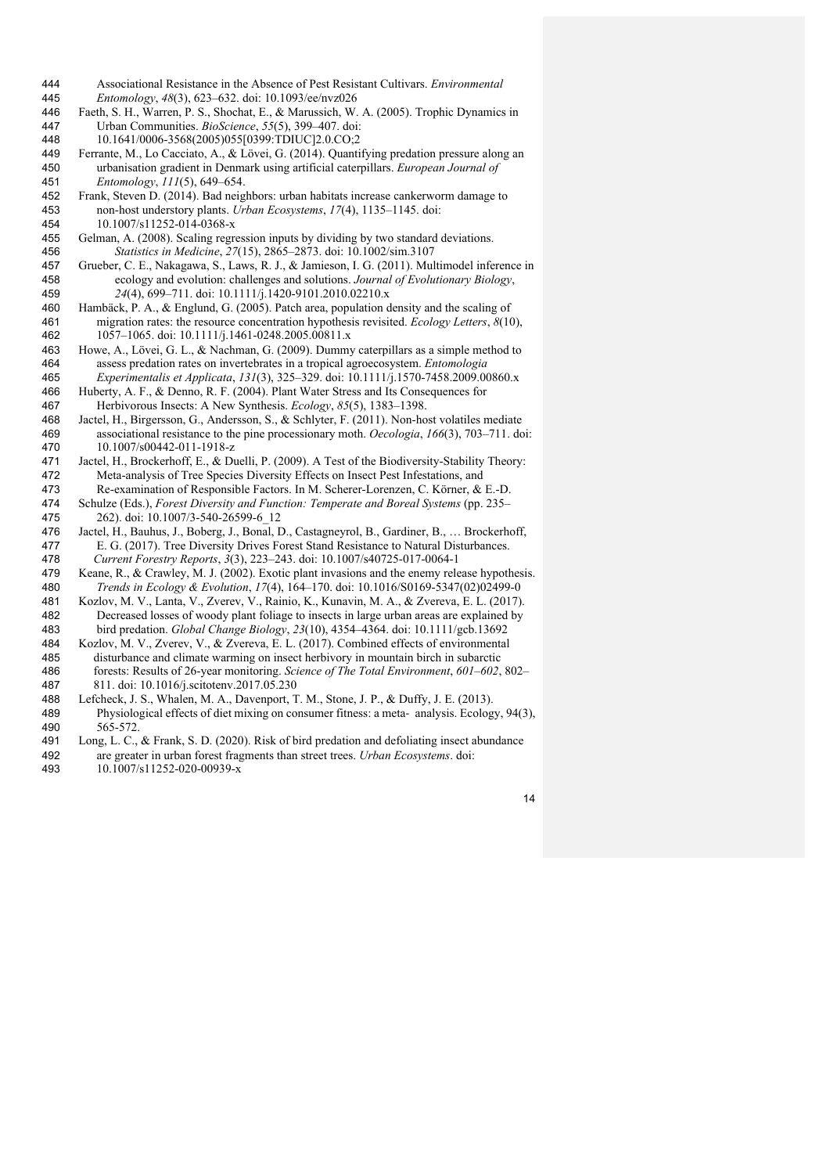- Associational Resistance in the Absence of Pest Resistant Cultivars. *Environmental Entomology*, *48*(3), 623–632. doi: 10.1093/ee/nvz026
- Faeth, S. H., Warren, P. S., Shochat, E., & Marussich, W. A. (2005). Trophic Dynamics in Urban Communities. *BioScience*, *55*(5), 399–407. doi:
- 10.1641/0006-3568(2005)055[0399:TDIUC]2.0.CO;2
- Ferrante, M., Lo Cacciato, A., & Lövei, G. (2014). Quantifying predation pressure along an urbanisation gradient in Denmark using artificial caterpillars. *European Journal of Entomology*, *111*(5), 649–654.
- Frank, Steven D. (2014). Bad neighbors: urban habitats increase cankerworm damage to non-host understory plants. *Urban Ecosystems*, *17*(4), 1135–1145. doi: 10.1007/s11252-014-0368-x
- Gelman, A. (2008). Scaling regression inputs by dividing by two standard deviations. *Statistics in Medicine*, *27*(15), 2865–2873. doi: 10.1002/sim.3107
- Grueber, C. E., Nakagawa, S., Laws, R. J., & Jamieson, I. G. (2011). Multimodel inference in ecology and evolution: challenges and solutions. *Journal of Evolutionary Biology*, *24*(4), 699–711. doi: 10.1111/j.1420-9101.2010.02210.x
- Hambäck, P. A., & Englund, G. (2005). Patch area, population density and the scaling of migration rates: the resource concentration hypothesis revisited. *Ecology Letters*, *8*(10), 1057–1065. doi: 10.1111/j.1461-0248.2005.00811.x
- Howe, A., Lövei, G. L., & Nachman, G. (2009). Dummy caterpillars as a simple method to assess predation rates on invertebrates in a tropical agroecosystem. *Entomologia Experimentalis et Applicata*, *131*(3), 325–329. doi: 10.1111/j.1570-7458.2009.00860.x
- Huberty, A. F., & Denno, R. F. (2004). Plant Water Stress and Its Consequences for Herbivorous Insects: A New Synthesis. *Ecology*, *85*(5), 1383–1398.
- Jactel, H., Birgersson, G., Andersson, S., & Schlyter, F. (2011). Non-host volatiles mediate associational resistance to the pine processionary moth. *Oecologia*, *166*(3), 703–711. doi: 10.1007/s00442-011-1918-z
- Jactel, H., Brockerhoff, E., & Duelli, P. (2009). A Test of the Biodiversity-Stability Theory: Meta-analysis of Tree Species Diversity Effects on Insect Pest Infestations, and Re-examination of Responsible Factors. In M. Scherer-Lorenzen, C. Körner, & E.-D.
- Schulze (Eds.), *Forest Diversity and Function: Temperate and Boreal Systems* (pp. 235– 262). doi: 10.1007/3-540-26599-6\_12
- Jactel, H., Bauhus, J., Boberg, J., Bonal, D., Castagneyrol, B., Gardiner, B., … Brockerhoff, E. G. (2017). Tree Diversity Drives Forest Stand Resistance to Natural Disturbances.  *Current Forestry Reports*, *3*(3), 223–243. doi: 10.1007/s40725-017-0064-1
- Keane, R., & Crawley, M. J. (2002). Exotic plant invasions and the enemy release hypothesis.  *Trends in Ecology & Evolution*, *17*(4), 164–170. doi: 10.1016/S0169-5347(02)02499-0
- Kozlov, M. V., Lanta, V., Zverev, V., Rainio, K., Kunavin, M. A., & Zvereva, E. L. (2017). Decreased losses of woody plant foliage to insects in large urban areas are explained by bird predation. *Global Change Biology*, *23*(10), 4354–4364. doi: 10.1111/gcb.13692
- Kozlov, M. V., Zverev, V., & Zvereva, E. L. (2017). Combined effects of environmental disturbance and climate warming on insect herbivory in mountain birch in subarctic forests: Results of 26-year monitoring. *Science of The Total Environment*, *601–602*, 802– 811. doi: 10.1016/j.scitotenv.2017.05.230
- 488 Lefcheck, J. S., Whalen, M. A., Davenport, T. M., Stone, J. P., & Duffy, J. E. (2013).<br>489 Physiological effects of diet mixing on consumer fitness: a meta-analysis. Ecolog Physiological effects of diet mixing on consumer fitness: a meta- analysis. Ecology, 94(3), 565-572.
- Long, L. C., & Frank, S. D. (2020). Risk of bird predation and defoliating insect abundance are greater in urban forest fragments than street trees. *Urban Ecosystems*. doi:
- 10.1007/s11252-020-00939-x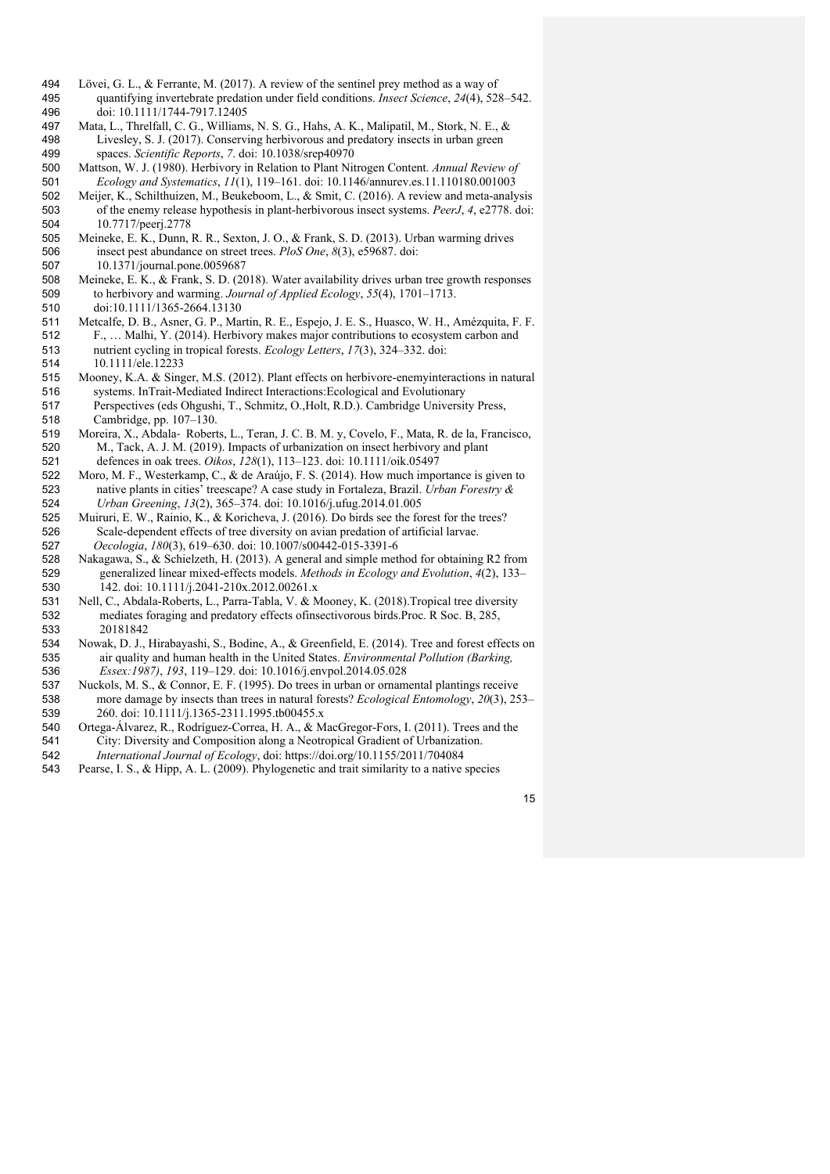- Lövei, G. L., & Ferrante, M. (2017). A review of the sentinel prey method as a way of quantifying invertebrate predation under field conditions. *Insect Science*, *24*(4), 528–542. doi: 10.1111/1744-7917.12405
- Mata, L., Threlfall, C. G., Williams, N. S. G., Hahs, A. K., Malipatil, M., Stork, N. E., & Livesley, S. J. (2017). Conserving herbivorous and predatory insects in urban green spaces. *Scientific Reports*, *7*. doi: 10.1038/srep40970
- Mattson, W. J. (1980). Herbivory in Relation to Plant Nitrogen Content. *Annual Review of Ecology and Systematics*, *11*(1), 119–161. doi: 10.1146/annurev.es.11.110180.001003
- Meijer, K., Schilthuizen, M., Beukeboom, L., & Smit, C. (2016). A review and meta-analysis of the enemy release hypothesis in plant-herbivorous insect systems. *PeerJ*, *4*, e2778. doi: 10.7717/peerj.2778
- Meineke, E. K., Dunn, R. R., Sexton, J. O., & Frank, S. D. (2013). Urban warming drives insect pest abundance on street trees. *PloS One*, *8*(3), e59687. doi: 10.1371/journal.pone.0059687
- Meineke, E. K., & Frank, S. D. (2018). Water availability drives urban tree growth responses to herbivory and warming. *Journal of Applied Ecology*, *55*(4), 1701–1713. doi:10.1111/1365-2664.13130
- Metcalfe, D. B., Asner, G. P., Martin, R. E., Espejo, J. E. S., Huasco, W. H., Amézquita, F. F. F., … Malhi, Y. (2014). Herbivory makes major contributions to ecosystem carbon and nutrient cycling in tropical forests. *Ecology Letters*, *17*(3), 324–332. doi: 10.1111/ele.12233
- Mooney, K.A. & Singer, M.S. (2012). Plant effects on herbivore-enemyinteractions in natural systems. InTrait-Mediated Indirect Interactions:Ecological and Evolutionary 517 Perspectives (eds Ohgushi, T., Schmitz, O., Holt, R.D.). Cambridge University Press,<br>518 Cambridge, pp. 107–130. Cambridge, pp. 107–130.
- Moreira, X., Abdala- Roberts, L., Teran, J. C. B. M. y, Covelo, F., Mata, R. de la, Francisco, M., Tack, A. J. M. (2019). Impacts of urbanization on insect herbivory and plant defences in oak trees. *Oikos*, *128*(1), 113–123. doi: 10.1111/oik.05497
- Moro, M. F., Westerkamp, C., & de Araújo, F. S. (2014). How much importance is given to native plants in cities' treescape? A case study in Fortaleza, Brazil. *Urban Forestry & Urban Greening*, *13*(2), 365–374. doi: 10.1016/j.ufug.2014.01.005
- Muiruri, E. W., Rainio, K., & Koricheva, J. (2016). Do birds see the forest for the trees? Scale-dependent effects of tree diversity on avian predation of artificial larvae.  *Oecologia*, *180*(3), 619–630. doi: 10.1007/s00442-015-3391-6
- Nakagawa, S., & Schielzeth, H. (2013). A general and simple method for obtaining R2 from generalized linear mixed-effects models. *Methods in Ecology and Evolution*, *4*(2), 133– 142. doi: 10.1111/j.2041-210x.2012.00261.x
- Nell, C., Abdala-Roberts, L., Parra-Tabla, V. & Mooney, K. (2018).Tropical tree diversity mediates foraging and predatory effects ofinsectivorous birds.Proc. R Soc. B, 285, 20181842
- Nowak, D. J., Hirabayashi, S., Bodine, A., & Greenfield, E. (2014). Tree and forest effects on air quality and human health in the United States. *Environmental Pollution (Barking, Essex:1987)*, *193*, 119–129. doi: 10.1016/j.envpol.2014.05.028
- Nuckols, M. S., & Connor, E. F. (1995). Do trees in urban or ornamental plantings receive more damage by insects than trees in natural forests? *Ecological Entomology*, *20*(3), 253– 260. doi: 10.1111/j.1365-2311.1995.tb00455.x
- Ortega-Álvarez, R., Rodríguez-Correa, H. A., & MacGregor-Fors, I. (2011). Trees and the City: Diversity and Composition along a Neotropical Gradient of Urbanization.  *International Journal of Ecology*, doi: https://doi.org/10.1155/2011/704084
- Pearse, I. S., & Hipp, A. L. (2009). Phylogenetic and trait similarity to a native species